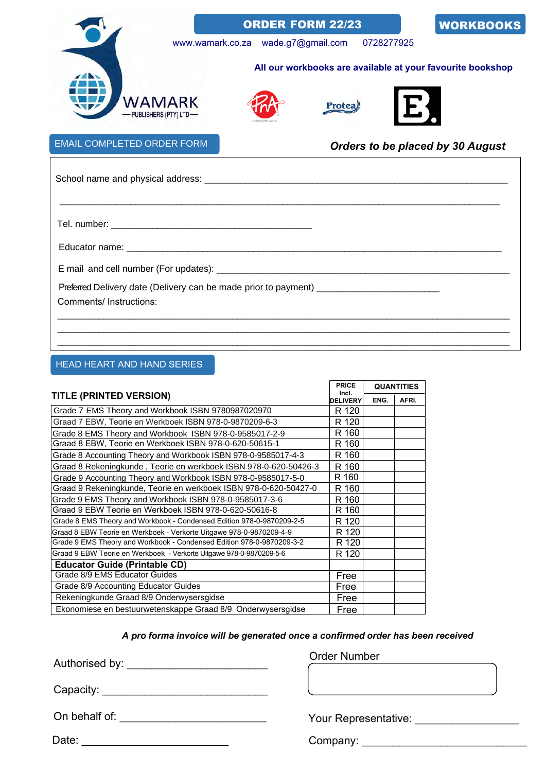

EMAIL COMPLETED ORDER FORM *Orders to be placed by 30 August*

| Preferred Delivery date (Delivery can be made prior to payment) ______________________ |  |  |  |
|----------------------------------------------------------------------------------------|--|--|--|
| Comments/ Instructions:                                                                |  |  |  |
|                                                                                        |  |  |  |
|                                                                                        |  |  |  |

### HEAD HEART AND HAND SERIES

|                                                                       |                          | <b>QUANTITIES</b> |       |
|-----------------------------------------------------------------------|--------------------------|-------------------|-------|
| <b>TITLE (PRINTED VERSION)</b>                                        | Incl.<br><b>DELIVERY</b> | ENG.              | AFRI. |
| Grade 7 EMS Theory and Workbook ISBN 9780987020970                    | R 120                    |                   |       |
| Graad 7 EBW, Teorie en Werkboek ISBN 978-0-9870209-6-3                | R 120                    |                   |       |
| Grade 8 EMS Theory and Workbook ISBN 978-0-9585017-2-9                | R 160                    |                   |       |
| Graad 8 EBW, Teorie en Werkboek ISBN 978-0-620-50615-1                | R 160                    |                   |       |
| Grade 8 Accounting Theory and Workbook ISBN 978-0-9585017-4-3         | R 160                    |                   |       |
| Graad 8 Rekeningkunde, Teorie en werkboek ISBN 978-0-620-50426-3      | R 160                    |                   |       |
| Grade 9 Accounting Theory and Workbook ISBN 978-0-9585017-5-0         | R 160                    |                   |       |
| Graad 9 Rekeningkunde, Teorie en werkboek ISBN 978-0-620-50427-0      | R 160                    |                   |       |
| Grade 9 EMS Theory and Workbook ISBN 978-0-9585017-3-6                | R 160                    |                   |       |
| Graad 9 EBW Teorie en Werkboek ISBN 978-0-620-50616-8                 | R 160                    |                   |       |
| Grade 8 EMS Theory and Workbook - Condensed Edition 978-0-9870209-2-5 | R 120                    |                   |       |
| Graad 8 EBW Teorie en Werkboek - Verkorte Uitgawe 978-0-9870209-4-9   | R 120                    |                   |       |
| Grade 9 EMS Theory and Workbook - Condensed Edition 978-0-9870209-3-2 | R 120                    |                   |       |
| Graad 9 EBW Teorie en Werkboek - Verkorte Uitgawe 978-0-9870209-5-6   | R 120                    |                   |       |
| <b>Educator Guide (Printable CD)</b>                                  |                          |                   |       |
| Grade 8/9 EMS Educator Guides                                         | Free                     |                   |       |
| Grade 8/9 Accounting Educator Guides                                  | Free                     |                   |       |
| Rekeningkunde Graad 8/9 Onderwysersgidse                              | Free                     |                   |       |
| Ekonomiese en bestuurwetenskappe Graad 8/9 Onderwysersgidse           | Free                     |                   |       |

#### *A pro forma invoice will be generated once a confirmed order has been received*

Order Number Authorised by: \_\_\_\_\_\_\_\_\_\_\_\_\_\_\_\_\_\_\_\_\_\_\_

| Capacity: |  |
|-----------|--|
|           |  |

| On behalf of: |  |
|---------------|--|
|               |  |

<oXr RHSrHVHQWDWLYH BBBBBBBBBBBBBBBBB

'DWH: \_\_\_\_\_\_\_\_\_\_\_\_\_\_\_\_\_\_\_\_\_\_\_\_

&oPSDQ\ BBBBBBBBBBBBBBBBBBBBBBBBBBB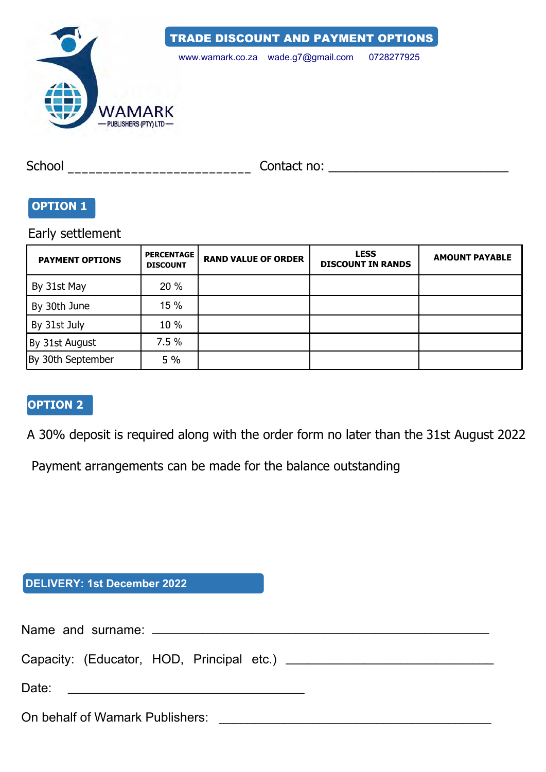## TRADE DISCOUNT AND PAYMENT OPTIONS



www.wamark.co.za wade.g7@gmail.com 0728277925

6chooO \_\_\_\_\_\_\_\_\_\_\_\_\_\_\_\_\_\_\_\_\_\_\_\_\_\_ Contact no: \_\_\_\_\_\_\_\_\_\_\_\_\_\_\_\_\_\_\_\_\_\_\_\_\_\_

# **OPTION 1**

Early settlement

| <b>PAYMENT OPTIONS</b> | <b>PERCENTAGE</b><br><b>DISCOUNT</b> | <b>RAND VALUE OF ORDER</b> | <b>LESS</b><br><b>DISCOUNT IN RANDS</b> | <b>AMOUNT PAYABLE</b> |
|------------------------|--------------------------------------|----------------------------|-----------------------------------------|-----------------------|
| By 31st May            | 20 %                                 |                            |                                         |                       |
| By 30th June           | 15 %                                 |                            |                                         |                       |
| By 31st July           | 10 %                                 |                            |                                         |                       |
| By 31st August         | 7.5%                                 |                            |                                         |                       |
| By 30th September      | 5%                                   |                            |                                         |                       |

# **OPTION 2**

A 30% deposit is required along with the order form no later than the 31st August 2022

Payment arrangements can be made for the balance outstanding

# **DELIVERY: 1st December 2022**

| On behalf of Wamark Publishers: |  |  |  |  |
|---------------------------------|--|--|--|--|